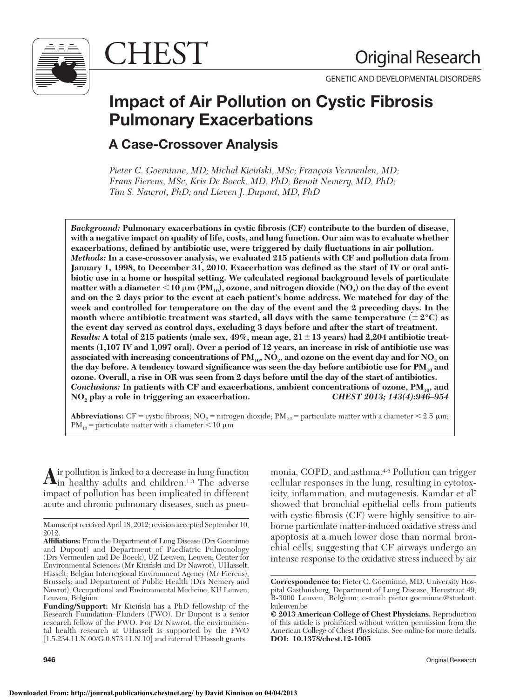

CHEST Original Research

GENETIC AND DEVELOPMENTAL DISORDERS

# **Impact of Air Pollution on Cystic Fibrosis Pulmonary Exacerbations**

 **A Case-Crossover Analysis** 

Pieter C. Goeminne, MD; Michał Kiciński, MSc; François Vermeulen, MD; *Frans Fierens, MSc, Kris De Boeck, MD, PhD; Benoit Nemery, MD, PhD; Tim S. Nawrot, PhD; and Lieven J. Dupont, MD, PhD* 

Background: Pulmonary exacerbations in cystic fibrosis (CF) contribute to the burden of disease, **with a negative impact on quality of life, costs, and lung function. Our aim was to evaluate whether**  exacerbations, defined by antibiotic use, were triggered by daily fluctuations in air pollution. *Methods:* **In a case-crossover analysis, we evaluated 215 patients with CF and pollution data from**  January 1, 1998, to December 31, 2010. Exacerbation was defined as the start of IV or oral anti**biotic use in a home or hospital setting. We calculated regional background levels of particulate**   $m$ atter with a diameter  $<$  10  $\mu$ m (PM  $_{10}$ ), ozone, and nitrogen dioxide (NO<sub>2</sub>) on the day of the event **and on the 2 days prior to the event at each patient's home address. We matched for day of the week and controlled for temperature on the day of the event and the 2 preceding days. In the**  month where antibiotic treatment was started, all days with the same temperature  $(\pm 2^{\circ}C)$  as **the event day served as control days, excluding 3 days before and after the start of treatment.**  *Results:* **A total of 215 patients (male sex, 49%, mean age, 21** - **13 years) had 2,204 antibiotic treatments (1,107 IV and 1,097 oral). Over a period of 12 years, an increase in risk of antibiotic use was**  associated with increasing concentrations of  $PM_{10}$ ,  $NO_2$ , and ozone on the event day and for  $NO_2$  on the day before. A tendency toward significance was seen the day before antibiotic use for PM<sub>10</sub> and **ozone. Overall, a rise in OR was seen from 2 days before until the day of the start of antibiotics.**  *Conclusions:* In patients with CF and exacerbations, ambient concentrations of ozone, PM<sub>10</sub>, and **NO**<sub>2</sub> play a role in triggering an exacerbation. *CHEST 2013; 143(4):946–954*  $NO<sub>2</sub>$  play a role in triggering an exacerbation.

**Abbreviations:** CF = cystic fibrosis; NO<sub>2</sub> = nitrogen dioxide;  $PM_{2.5}$  = particulate matter with a diameter < 2.5  $\mu$ m;  $PM_{10}$  = particulate matter with a diameter  $\leq 10 \mu m$ 

 ${\bf A}$ ir pollution is linked to a decrease in lung function  ${\bf A}$ in healthy adults and children.  $1-3$  The adverse impact of pollution has been implicated in different acute and chronic pulmonary diseases, such as pneu-

monia, COPD, and asthma. 4-6 Pollution can trigger cellular responses in the lung, resulting in cytotoxicity, inflammation, and mutagenesis. Kamdar et al<sup>7</sup> showed that bronchial epithelial cells from patients with cystic fibrosis  $(CF)$  were highly sensitive to airborne particulate matter-induced oxidative stress and apoptosis at a much lower dose than normal bronchial cells, suggesting that CF airways undergo an intense response to the oxidative stress induced by air

Manuscript received April 18, 2012; revision accepted September 10, 2012.

Affiliations: From the Department of Lung Disease (Drs Goeminne and Dupont) and Department of Paediatric Pulmonology (Drs Vermeulen and De Boeck), UZ Leuven, Leuven; Center for Environmental Sciences (Mr Kiciński and Dr Nawrot), UHasselt, Hasselt; Belgian Interregional Environment Agency (Mr Fierens), Brussels; and Department of Public Health (Drs Nemery and Nawrot), Occupational and Environmental Medicine, KU Leuven, Leuven, Belgium.

**Funding/Support:** Mr Kiciński has a PhD fellowship of the Research Foundation–Flanders (FWO). Dr Dupont is a senior research fellow of the FWO. For Dr Nawrot, the environmental health research at UHasselt is supported by the FWO [1.5.234.11.N.00/G.0.873.11.N.10] and internal UHasselt grants .

**Correspondence to:** Pieter C. Goeminne, MD, University Hospital Gasthuisberg, Department of Lung Disease, Herestraat 49, B-3000 Leuven, Belgium; e-mail: pieter.goeminne@student. kuleuven.be

**<sup>© 2013</sup> American College of Chest Physicians.** Reproduction of this article is prohibited without written permission from the American College of Chest Physicians. See online for more details. **DOI: 10.1378/chest.12-1005**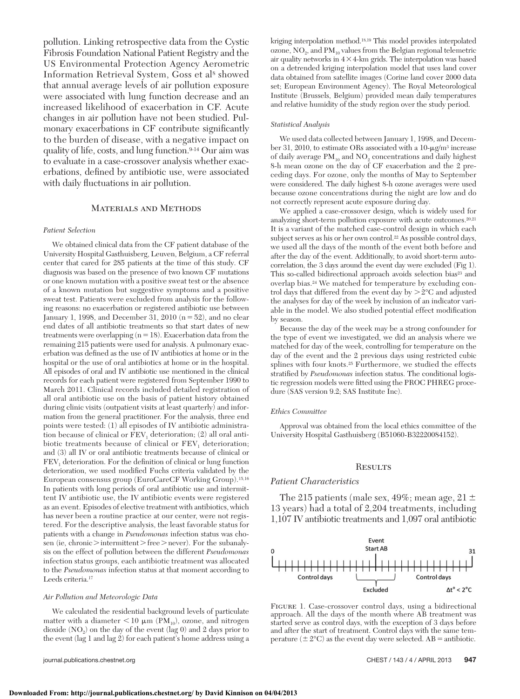pollution. Linking retrospective data from the Cystic Fibrosis Foundation National Patient Registry and the US Environmental Protection Agency Aerometric Information Retrieval System, Goss et al<sup>8</sup> showed that annual average levels of air pollution exposure were associated with lung function decrease and an increased likelihood of exacerbation in CF. Acute changes in air pollution have not been studied. Pulmonary exacerbations in CF contribute significantly to the burden of disease, with a negative impact on quality of life, costs, and lung function. 9-14 Our aim was to evaluate in a case-crossover analysis whether exacerbations, defined by antibiotic use, were associated with daily fluctuations in air pollution.

## Materials and Methods

#### *Patient Selection*

 We obtained clinical data from the CF patient database of the University Hospital Gasthuisberg, Leuven, Belgium, a CF referral center that cared for 285 patients at the time of this study. CF diagnosis was based on the presence of two known CF mutations or one known mutation with a positive sweat test or the absence of a known mutation but suggestive symptoms and a positive sweat test. Patients were excluded from analysis for the following reasons: no exacerbation or registered antibiotic use between January 1, 1998, and December 31, 2010 ( $n = 52$ ), and no clear end dates of all antibiotic treatments so that start dates of new treatments were overlapping  $(n = 18)$ . Exacerbation data from the remaining 215 patients were used for analysis. A pulmonary exacerbation was defined as the use of IV antibiotics at home or in the hospital or the use of oral antibiotics at home or in the hospital. All episodes of oral and IV antibiotic use mentioned in the clinical records for each patient were registered from September 1990 to March 2011. Clinical records included detailed registration of all oral antibiotic use on the basis of patient history obtained during clinic visits (outpatient visits at least quarterly) and information from the general practitioner. For the analysis, three end points were tested: (1) all episodes of IV antibiotic administration because of clinical or  $FEV<sub>1</sub>$  deterioration; (2) all oral antibiotic treatments because of clinical or  $FEV<sub>1</sub>$  deterioration; and (3) all IV or oral antibiotic treatments because of clinical or  $FEV<sub>1</sub>$  deterioration. For the definition of clinical or lung function deterioration, we used modified Fuchs criteria validated by the European consensus group (EuroCareCF Working Group). 15,16 In patients with long periods of oral antibiotic use and intermittent IV antibiotic use, the IV antibiotic events were registered as an event. Episodes of elective treatment with antibiotics, which has never been a routine practice at our center, were not registered. For the descriptive analysis, the least favorable status for patients with a change in *Pseudomonas* infection status was cho- $\overline{\text{sen}}$  (ie, chronic  $\geq$  intermittent  $\geq$  free  $\geq$  never). For the subanalysis on the effect of pollution between the different *Pseudomonas* infection status groups, each antibiotic treatment was allocated to the *Pseudomonas* infection status at that moment according to Leeds criteria. 17

#### *Air Pollution and Meteorologic Data*

 We calculated the residential background levels of particulate matter with a diameter  $<$  10  $\mu$ m (PM<sub>10</sub>), ozone, and nitrogen dioxide  $(NO<sub>2</sub>)$  on the day of the event (lag 0) and 2 days prior to the event (lag 1 and lag 2) for each patient's home address using a

kriging interpolation method. 18,19 This model provides interpolated ozone,  $NO<sub>2</sub>$ , and  $PM<sub>10</sub>$  values from the Belgian regional telemetric air quality networks in  $4 \times 4$ -km grids. The interpolation was based on a detrended kriging interpolation model that uses land cover data obtained from satellite images (Corine land cover 2000 data set; European Environment Agency). The Royal Meteorological Institute (Brussels, Belgium) provided mean daily temperatures and relative humidity of the study region over the study period.

# *Statistical Analysis*

 We used data collected between January 1, 1998, and December 31, 2010, to estimate ORs associated with a  $10$ - $\mu$ g/m<sup>3</sup> increase of daily average  $PM_{10}$  and  $NO_2$  concentrations and daily highest 8-h mean ozone on the day of CF exacerbation and the 2 preceding days. For ozone, only the months of May to September were considered. The daily highest 8-h ozone averages were used because ozone concentrations during the night are low and do not correctly represent acute exposure during day.

 We applied a case-crossover design, which is widely used for analyzing short-term pollution exposure with acute outcomes. 20,21 It is a variant of the matched case-control design in which each subject serves as his or her own control.<sup>22</sup> As possible control days, we used all the days of the month of the event both before and after the day of the event. Additionally, to avoid short-term autocorrelation, the 3 days around the event day were excluded (Fig 1). This so-called bidirectional approach avoids selection bias<sup>23</sup> and overlap bias. 24 We matched for temperature by excluding control days that differed from the event day by  $> 2^{\circ}C$  and adjusted the analyses for day of the week by inclusion of an indicator variable in the model. We also studied potential effect modification by season.

 Because the day of the week may be a strong confounder for the type of event we investigated, we did an analysis where we matched for day of the week, controlling for temperature on the day of the event and the 2 previous days using restricted cubic splines with four knots. 25 Furthermore, we studied the effects stratified by *Pseudomonas* infection status. The conditional logistic regression models were fitted using the PROC PHREG procedure (SAS version 9.2; SAS Institute Inc).

## *Ethics Committee*

 Approval was obtained from the local ethics committee of the University Hospital Gasthuisberg (B51060-B32220084152).

#### **RESULTS**

# *Patient Characteristics*

The 215 patients (male sex, 49%; mean age, 21  $\pm$ 13 years) had a total of 2,204 treatments, including 1,107 IV antibiotic treatments and 1,097 oral antibiotic



FIGURE 1. Case-crossover control days, using a bidirectional approach. All the days of the month where AB treatment was started serve as control days, with the exception of 3 days before and after the start of treatment. Control days with the same temperature  $(\pm 2^{\circ}C)$  as the event day were selected. AB = antibiotic.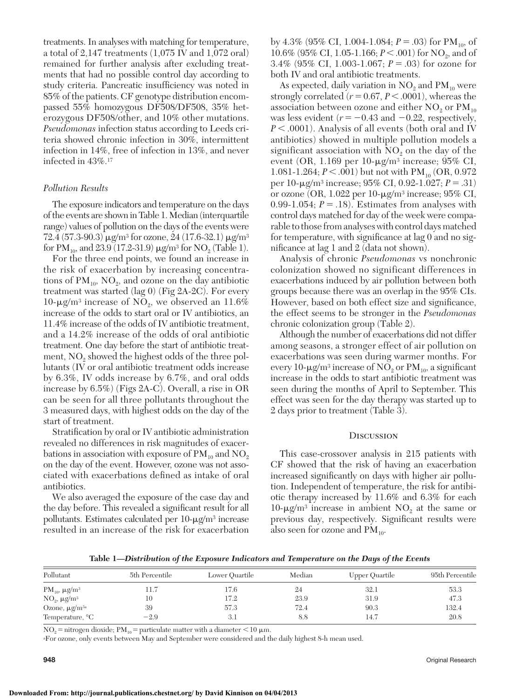treatments. In analyses with matching for temperature, a total of 2,147 treatments (1,075 IV and 1,072 oral) remained for further analysis after excluding treatments that had no possible control day according to study criteria. Pancreatic insufficiency was noted in 85% of the patients. CF genotype distribution encompassed 55% homozygous DF508/DF508, 35% heterozygous DF508/other, and 10% other mutations. *Pseudomonas* infection status according to Leeds criteria showed chronic infection in 30%, intermittent infection in 14%, free of infection in 13%, and never infected in 43%. 17

# *Pollution Results*

 The exposure indicators and temperature on the days of the events are shown in Table 1 . Median (interquartile range) values of pollution on the days of the events were 72.4 (57.3-90.3)  $\mu$ g/m<sup>3</sup> for ozone, 24 (17.6-32.1)  $\mu$ g/m<sup>3</sup> for  $PM_{10}$ , and 23.9 (17.2-31.9)  $\mu$ g/m<sup>3</sup> for NO<sub>2</sub> (Table 1).

 For the three end points, we found an increase in the risk of exacerbation by increasing concentrations of  $\text{PM}_{10}$ ,  $\text{NO}_2$ , and ozone on the day antibiotic treatment was started  $(\text{lag } 0)$  (Fig 2A-2C). For every 10- $\mu$ g/m<sup>3</sup> increase of NO<sub>2</sub>, we observed an 11.6% increase of the odds to start oral or IV antibiotics, an 11.4% increase of the odds of IV antibiotic treatment, and a 14.2% increase of the odds of oral antibiotic treatment. One day before the start of antibiotic treatment,  $NO<sub>2</sub>$  showed the highest odds of the three pollutants (IV or oral antibiotic treatment odds increase by 6.3%, IV odds increase by 6.7%, and oral odds increase by 6.5%) ( Figs 2A-C ). Overall, a rise in OR can be seen for all three pollutants throughout the 3 measured days, with highest odds on the day of the start of treatment.

Stratification by oral or IV antibiotic administration revealed no differences in risk magnitudes of exacerbations in association with exposure of  $PM_{10}$  and  $NO_2$ on the day of the event. However, ozone was not associated with exacerbations defined as intake of oral antibiotics.

 We also averaged the exposure of the case day and the day before. This revealed a significant result for all pollutants. Estimates calculated per  $10$ - $\mu$ g/m<sup>3</sup> increase resulted in an increase of the risk for exacerbation by 4.3% (95% CI, 1.004-1.084;  $P = .03$ ) for PM<sub>10</sub>, of 10.6% (95% CI, 1.05-1.166; *P* < .001) for NO<sub>2</sub>, and of 3.4% (95% CI, 1.003-1.067;  $P = .03$ ) for ozone for both IV and oral antibiotic treatments.

As expected, daily variation in  $NO<sub>2</sub>$  and  $PM<sub>10</sub>$  were strongly correlated  $(r = 0.67, P < .0001)$ , whereas the association between ozone and either  $NO<sub>2</sub>$  or  $PM<sub>10</sub>$ was less evident  $(r = -0.43$  and  $-0.22$ , respectively,  $P < .0001$ ). Analysis of all events (both oral and IV antibiotics) showed in multiple pollution models a significant association with  $NO<sub>2</sub>$  on the day of the event (OR, 1.169 per 10- $\mu$ g/m<sup>3</sup> increase; 95% CI, 1.081-1.264;  $P < .001$ ) but not with PM<sub>10</sub> (OR, 0.972) per 10- $\mu$ g/m<sup>3</sup> increase; 95% CI, 0.92-1.027;  $P = .31$ ) or ozone (OR,  $1.022$  per  $10$ - $\mu$ g/m<sup>3</sup> increase; 95% CI, 0.99-1.054;  $P = .18$ ). Estimates from analyses with control days matched for day of the week were comparable to those from analyses with control days matched for temperature, with significance at  $\log 0$  and no significance at lag 1 and 2 (data not shown).

 Analysis of chronic *Pseudomonas* vs nonchronic colonization showed no significant differences in exacerbations induced by air pollution between both groups because there was an overlap in the 95% CIs. However, based on both effect size and significance, the effect seems to be stronger in the *Pseudomonas* chronic colonization group (Table 2).

 Although the number of exacerbations did not differ among seasons, a stronger effect of air pollution on exacerbations was seen during warmer months. For every 10- $\mu$ g/m<sup>3</sup> increase of NO<sub>2</sub> or PM<sub>10</sub>, a significant increase in the odds to start antibiotic treatment was seen during the months of April to September. This effect was seen for the day therapy was started up to 2 days prior to treatment (Table 3).

# **DISCUSSION**

 This case-crossover analysis in 215 patients with CF showed that the risk of having an exacerbation increased significantly on days with higher air pollution. Independent of temperature, the risk for antibiotic therapy increased by 11.6% and 6.3% for each  $10$ - $\mu$ g/m<sup>3</sup> increase in ambient NO<sub>2</sub> at the same or previous day, respectively. Significant results were also seen for ozone and  $PM_{10}$ .

| Pollutant                      | 5th Percentile | Lower Quartile | Median | Upper Quartile | 95th Percentile |
|--------------------------------|----------------|----------------|--------|----------------|-----------------|
| $PM_{10}$ , $\mu g/m^3$        |                | 17.6           | 24     | 32.1           | 53.3            |
| $NO_2$ , $\mu g/m^3$           | 10             | 17.2           | 23.9   | 31.9           | 47.3            |
| Ozone, $\mu$ g/m <sup>3a</sup> | 39             | 57.3           | 72.4   | 90.3           | 132.4           |
| Temperature, °C                | $-2.9$         | 3.1            | 8.8    | 14.7           | 20.8            |

 **Table 1***— Distribution of the Exposure Indicators and Temperature on the Days of the Events* 

 $NO<sub>2</sub>$  = nitrogen dioxide; PM<sub>10</sub> = particulate matter with a diameter < 10  $\mu$ m.

a For ozone, only events between May and September were considered and the daily highest 8-h mean used.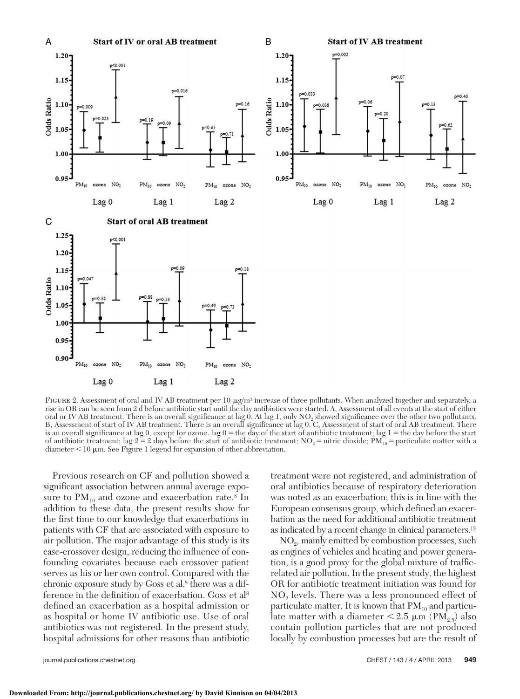

FIGURE 2. Assessment of oral and IV AB treatment per  $10-\mu\sigma/m^3$  increase of three pollutants. When analyzed together and separately, a rise in OR can be seen from 2 d before antibiotic start until the day antibiotics were started. A, Assessment of all events at the start of either oral or IV AB treatment. There is an overall significance at lag 0. At lag 1, only NO<sub>2</sub> showed significance over the other two pollutants. B, Assessment of start of IV AB treatment. There is an overall significance at lag 0. C, Assessment of start of oral AB treatment. There is an overall significance at lag 0, except for ozone. lag  $0 =$  the day of the start of antibiotic treatment; lag  $1 =$  the day before the start of antibiotic treatment; lag  $2 = 2$  days before the start of antibiotic treatment; NO<sub>2</sub> = nitric dioxide; PM<sub>10</sub> = particulate matter with a diameter  $<$  10  $\mu$ m. See Figure 1 legend for expansion of other abbreviation.

 Previous research on CF and pollution showed a significant association between annual average exposure to  $PM_{10}$  and ozone and exacerbation rate.<sup>8</sup> In addition to these data, the present results show for the first time to our knowledge that exacerbations in patients with CF that are associated with exposure to air pollution. The major advantage of this study is its case-crossover design, reducing the influence of confounding covariates because each crossover patient serves as his or her own control. Compared with the chronic exposure study by Goss et al,<sup>8</sup> there was a difference in the definition of exacerbation. Goss et al<sup>8</sup> defined an exacerbation as a hospital admission or as hospital or home IV antibiotic use. Use of oral antibiotics was not registered. In the present study, hospital admissions for other reasons than antibiotic treatment were not registered, and administration of oral antibiotics because of respiratory deterioration was noted as an exacerbation; this is in line with the European consensus group, which defined an exacerbation as the need for additional antibiotic treatment as indicated by a recent change in clinical parameters. 15

 $NO<sub>2</sub>$ , mainly emitted by combustion processes, such as engines of vehicles and heating and power generation, is a good proxy for the global mixture of trafficrelated air pollution. In the present study, the highest OR for antibiotic treatment initiation was found for NO<sub>2</sub> levels. There was a less pronounced effect of particulate matter. It is known that  $PM_{10}$  and particulate matter with a diameter  $< 2.5 \mu m$  (PM<sub>2.5</sub>) also contain pollution particles that are not produced locally by combustion processes but are the result of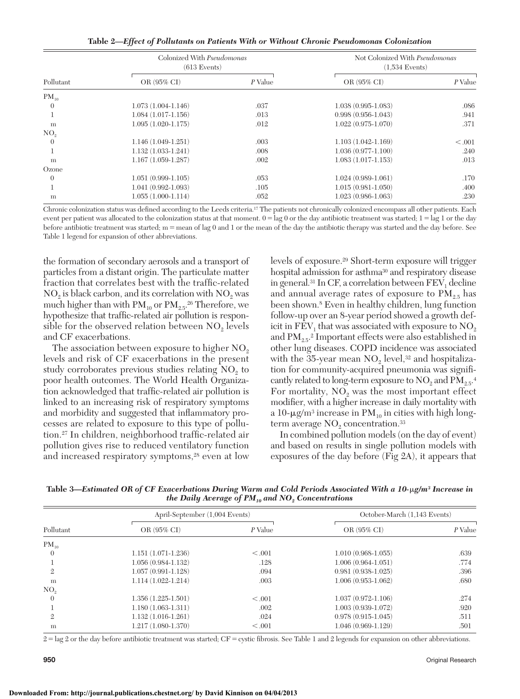| Pollutant       | Colonized With Pseudomonas<br>$(613$ Events) |           | Not Colonized With Pseudomonas<br>$(1,534$ Events) |           |
|-----------------|----------------------------------------------|-----------|----------------------------------------------------|-----------|
|                 | OR (95% CI)                                  | $P$ Value | OR (95% CI)                                        | $P$ Value |
| $PM_{10}$       |                                              |           |                                                    |           |
| $\theta$        | $1.073(1.004-1.146)$                         | .037      | $1.038(0.995-1.083)$                               | .086      |
|                 | $1.084(1.017-1.156)$                         | .013      | $0.998(0.956-1.043)$                               | .941      |
| m               | $1.095(1.020-1.175)$                         | .012      | $1.022(0.975 - 1.070)$                             | .371      |
| NO <sub>2</sub> |                                              |           |                                                    |           |
| $\Omega$        | $1.146(1.049-1.251)$                         | .003      | $1.103(1.042 - 1.169)$                             | < 0.001   |
|                 | $1.132(1.033 - 1.241)$                       | .008      | $1.036(0.977-1.100)$                               | .240      |
| m               | $1.167(1.059-1.287)$                         | .002      | $1.083(1.017-1.153)$                               | .013      |
| Ozone           |                                              |           |                                                    |           |
| $\Omega$        | $1.051(0.999-1.105)$                         | .053      | $1.024(0.989-1.061)$                               | .170      |
|                 | $1.041(0.992 - 1.093)$                       | .105      | $1.015(0.981 - 1.050)$                             | .400      |
| m               | $1.055(1.000-1.114)$                         | .052      | $1.023(0.986 - 1.063)$                             | .230      |

Chronic colonization status was defined according to the Leeds criteria.<sup>17</sup> The patients not chronically colonized encompass all other patients. Each event per patient was allocated to the colonization status at that moment.  $0 = \log 0$  or the day antibiotic treatment was started;  $1 = \log 1$  or the day before antibiotic treatment was started; m = mean of lag 0 and 1 or the mean of the day the antibiotic therapy was started and the day before. See Table 1 legend for expansion of other abbreviations.

the formation of secondary aerosols and a transport of particles from a distant origin. The particulate matter fraction that correlates best with the traffic-related  $NO<sub>2</sub>$  is black carbon, and its correlation with  $NO<sub>2</sub>$  was much higher than with  $\text{PM}_{10}$  or  $\text{PM}_{2.5}$ .<sup>26</sup> Therefore, we hypothesize that traffic-related air pollution is responsible for the observed relation between  $NO<sub>2</sub>$  levels and CF exacerbations.

The association between exposure to higher  $NO<sub>2</sub>$ levels and risk of CF exacerbations in the present study corroborates previous studies relating NO<sub>2</sub> to poor health outcomes. The World Health Organization acknowledged that traffic-related air pollution is linked to an increasing risk of respiratory symptoms and morbidity and suggested that inflammatory processes are related to exposure to this type of pollution.<sup>27</sup> In children, neighborhood traffic-related air pollution gives rise to reduced ventilatory function and increased respiratory symptoms, 28 even at low levels of exposure. 29 Short-term exposure will trigger hospital admission for asthma<sup>30</sup> and respiratory disease in general.<sup>31</sup> In CF, a correlation between  $FEV_1$  decline and annual average rates of exposure to  $PM_{2.5}$  has been shown.<sup>8</sup> Even in healthy children, lung function follow-up over an 8-year period showed a growth deficit in  $FEV<sub>1</sub>$  that was associated with exposure to  $NO<sub>2</sub>$ and  $\text{PM}_{2.5}$ .<sup>2</sup> Important effects were also established in other lung diseases. COPD incidence was associated with the 35-year mean  $NO<sub>2</sub>$  level,<sup>32</sup> and hospitalization for community-acquired pneumonia was significantly related to long-term exposure to  $\rm NO_2$  and  $\rm PM_{2.5}.^4$ For mortality,  $NO<sub>2</sub>$  was the most important effect modifier, with a higher increase in daily mortality with a 10- $\mu$ g/m<sup>3</sup> increase in PM<sub>10</sub> in cities with high longterm average  $NO<sub>2</sub>$  concentration.<sup>33</sup>

 In combined pollution models (on the day of event) and based on results in single pollution models with exposures of the day before (Fig 2A), it appears that

**Table 3—Estimated OR of CF Exacerbations During Warm and Cold Periods Associated With a 10-μg/m<sup>3</sup> Increase in** *the Daily Average of PM 10 and NO 2 Concentrations* 

| Pollutant       | April-September (1,004 Events) |         | October-March (1,143 Events) |         |
|-----------------|--------------------------------|---------|------------------------------|---------|
|                 | OR (95% CI)                    | P Value | OR (95% CI)                  | P Value |
| $PM_{10}$       |                                |         |                              |         |
| $\Omega$        | $1.151(1.071-1.236)$           | < 0.001 | $1.010(0.968-1.055)$         | .639    |
|                 | $1.056(0.984 - 1.132)$         | .128    | $1.006(0.964-1.051)$         | .774    |
| 2               | $1.057(0.991 - 1.128)$         | .094    | $0.981(0.938-1.025)$         | .396    |
| m               | $1.114(1.022 - 1.214)$         | .003    | $1.006(0.953-1.062)$         | .680    |
| NO <sub>o</sub> |                                |         |                              |         |
| $\Omega$        | $1.356(1.225-1.501)$           | < 0.001 | $1.037(0.972 - 1.106)$       | .274    |
|                 | $1.180(1.063-1.311)$           | .002    | $1.003(0.939-1.072)$         | .920    |
| 2               | $1.132(1.016-1.261)$           | .024    | $0.978(0.915-1.045)$         | .511    |
| m               | $1.217(1.080-1.370)$           | < 0.001 | $1.046(0.969-1.129)$         | .501    |
|                 |                                |         |                              |         |

 $2 = \log 2$  or the day before antibiotic treatment was started; CF = cystic fibrosis. See Table 1 and 2 legends for expansion on other abbreviations.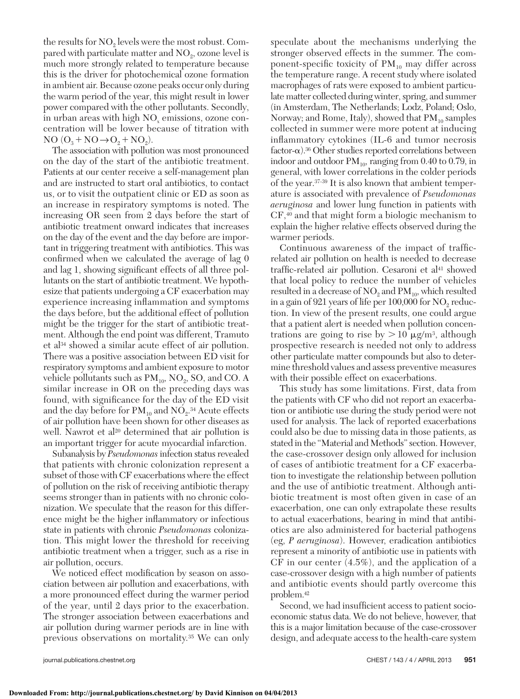the results for  $NO<sub>2</sub>$  levels were the most robust. Compared with particulate matter and  $NO<sub>2</sub>$ , ozone level is much more strongly related to temperature because this is the driver for photochemical ozone formation in ambient air. Because ozone peaks occur only during the warm period of the year, this might result in lower power compared with the other pollutants. Secondly, in urban areas with high  $\rm NO_x$  emissions, ozone concentration will be lower because of titration with NO  $(O_3 + NO \rightarrow O_2 + NO_2)$ .

 The association with pollution was most pronounced on the day of the start of the antibiotic treatment. Patients at our center receive a self-management plan and are instructed to start oral antibiotics, to contact us, or to visit the outpatient clinic or ED as soon as an increase in respiratory symptoms is noted. The increasing OR seen from 2 days before the start of antibiotic treatment onward indicates that increases on the day of the event and the day before are important in triggering treatment with antibiotics. This was confirmed when we calculated the average of lag 0 and lag 1, showing significant effects of all three pollutants on the start of antibiotic treatment. We hypothesize that patients undergoing a CF exacerbation may experience increasing inflammation and symptoms the days before, but the additional effect of pollution might be the trigger for the start of antibiotic treatment. Although the end point was different, Tramuto et al<sup>34</sup> showed a similar acute effect of air pollution. There was a positive association between ED visit for respiratory symptoms and ambient exposure to motor vehicle pollutants such as  $PM_{10}$ , NO<sub>2</sub>, SO, and CO. A similar increase in OR on the preceding days was found, with significance for the day of the ED visit and the day before for  $PM_{10}$  and  $NO<sub>2</sub>$ .<sup>34</sup> Acute effects of air pollution have been shown for other diseases as well. Nawrot et al<sup>20</sup> determined that air pollution is an important trigger for acute myocardial infarction.

 Subanalysis by *Pseudomonas* infection status revealed that patients with chronic colonization represent a subset of those with CF exacerbations where the effect of pollution on the risk of receiving antibiotic therapy seems stronger than in patients with no chronic colonization. We speculate that the reason for this difference might be the higher inflammatory or infectious state in patients with chronic *Pseudomonas* colonization. This might lower the threshold for receiving antibiotic treatment when a trigger, such as a rise in air pollution, occurs.

We noticed effect modification by season on association between air pollution and exacerbations, with a more pronounced effect during the warmer period of the year, until 2 days prior to the exacerbation. The stronger association between exacerbations and air pollution during warmer periods are in line with previous observations on mortality.<sup>35</sup> We can only speculate about the mechanisms underlying the stronger observed effects in the summer. The component-specific toxicity of  $PM_{10}$  may differ across the temperature range. A recent study where isolated macrophages of rats were exposed to ambient particulate matter collected during winter, spring, and summer (in Amsterdam, The Netherlands; Lodz, Poland; Oslo, Norway; and Rome, Italy), showed that  $PM_{10}$  samples collected in summer were more potent at inducing inflammatory cytokines (IL-6 and tumor necrosis factor- $\alpha$ ).<sup>36</sup> Other studies reported correlations between indoor and outdoor  $PM_{10}$ , ranging from 0.40 to 0.79, in general, with lower correlations in the colder periods of the year. 37-39 It is also known that ambient temperature is associated with prevalence of *Pseudomonas aeruginosa* and lower lung function in patients with CF, 40 and that might form a biologic mechanism to explain the higher relative effects observed during the warmer periods.

Continuous awareness of the impact of trafficrelated air pollution on health is needed to decrease traffic-related air pollution. Cesaroni et al<sup>41</sup> showed that local policy to reduce the number of vehicles resulted in a decrease of  $NO<sub>2</sub>$  and  $PM<sub>10</sub>$ , which resulted in a gain of 921 years of life per  $100,000$  for  $NO<sub>2</sub>$  reduction. In view of the present results, one could argue that a patient alert is needed when pollution concentrations are going to rise by  $> 10 \mu g/m^3$ , although prospective research is needed not only to address other particulate matter compounds but also to determine threshold values and assess preventive measures with their possible effect on exacerbations.

 This study has some limitations. First, data from the patients with CF who did not report an exacerbation or antibiotic use during the study period were not used for analysis. The lack of reported exacerbations could also be due to missing data in those patients, as stated in the "Material and Methods" section. However, the case-crossover design only allowed for inclusion of cases of antibiotic treatment for a CF exacerbation to investigate the relationship between pollution and the use of antibiotic treatment. Although antibiotic treatment is most often given in case of an exacerbation, one can only extrapolate these results to actual exacerbations, bearing in mind that antibiotics are also administered for bacterial pathogens (eg, *P aeruginosa* ). However, eradication antibiotics represent a minority of antibiotic use in patients with CF in our center (4.5%), and the application of a case-crossover design with a high number of patients and antibiotic events should partly overcome this problem. 42

Second, we had insufficient access to patient socioeconomic status data. We do not believe, however, that this is a major limitation because of the case-crossover design, and adequate access to the health-care system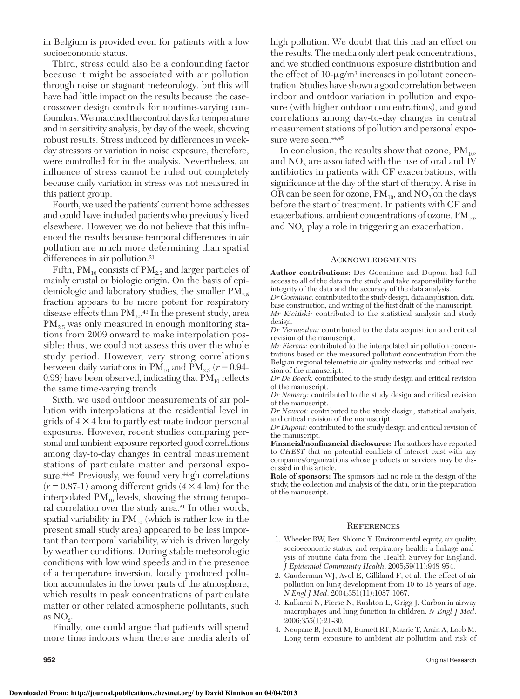in Belgium is provided even for patients with a low socioeconomic status.

 Third, stress could also be a confounding factor because it might be associated with air pollution through noise or stagnant meteorology, but this will have had little impact on the results because the casecrossover design controls for nontime-varying confounders. We matched the control days for temperature and in sensitivity analysis, by day of the week, showing robust results. Stress induced by differences in weekday stressors or variation in noise exposure, therefore, were controlled for in the analysis. Nevertheless, an influence of stress cannot be ruled out completely because daily variation in stress was not measured in this patient group.

 Fourth, we used the patients' current home addresses and could have included patients who previously lived elsewhere. However, we do not believe that this influenced the results because temporal differences in air pollution are much more determining than spatial differences in air pollution.<sup>21</sup>

Fifth,  $PM_{10}$  consists of  $PM_{2.5}$  and larger particles of mainly crustal or biologic origin. On the basis of epidemiologic and laboratory studies, the smaller  $PM_{2.5}$ fraction appears to be more potent for respiratory disease effects than  $PM_{10}$ .<sup>43</sup> In the present study, area  $PM_{25}$  was only measured in enough monitoring stations from 2009 onward to make interpolation possible; thus, we could not assess this over the whole study period. However, very strong correlations between daily variations in  $PM_{10}$  and  $PM_{2.5}$  ( $r = 0.94$ -0.98) have been observed, indicating that  $\text{PM}_{10}$  reflects the same time-varying trends.

 Sixth, we used outdoor measurements of air pollution with interpolations at the residential level in grids of  $4 \times 4$  km to partly estimate indoor personal exposures. However, recent studies comparing personal and ambient exposure reported good correlations among day-to-day changes in central measurement stations of particulate matter and personal exposure. 44,45 Previously, we found very high correlations  $(r = 0.87-1)$  among different grids  $(4 \times 4 \text{ km})$  for the interpolated  $PM_{10}$  levels, showing the strong temporal correlation over the study area.<sup>21</sup> In other words, spatial variability in  $PM_{10}$  (which is rather low in the present small study area) appeared to be less important than temporal variability, which is driven largely by weather conditions. During stable meteorologic conditions with low wind speeds and in the presence of a temperature inversion, locally produced pollution accumulates in the lower parts of the atmosphere, which results in peak concentrations of particulate matter or other related atmospheric pollutants, such as  $NO<sub>2</sub>$ .

 Finally, one could argue that patients will spend more time indoors when there are media alerts of high pollution. We doubt that this had an effect on the results. The media only alert peak concentrations, and we studied continuous exposure distribution and the effect of  $10$ - $\mu$ g/m<sup>3</sup> increases in pollutant concentration . Studies have shown a good correlation between indoor and outdoor variation in pollution and exposure (with higher outdoor concentrations), and good correlations among day-to-day changes in central measurement stations of pollution and personal exposure were seen.  $\hspace{0.01em}^{44,45}$ 

In conclusion, the results show that ozone,  $PM_{10}$ , and  $NO<sub>2</sub>$  are associated with the use of oral and IV antibiotics in patients with CF exacerbations, with significance at the day of the start of therapy. A rise in OR can be seen for ozone,  $PM_{10}$ , and  $NO_2$  on the days before the start of treatment. In patients with CF and exacerbations, ambient concentrations of ozone,  $PM_{10}$ , and  $NO<sub>2</sub>$  play a role in triggering an exacerbation.

#### **ACKNOWLEDGMENTS**

**Author contributions:** Drs Goeminne and Dupont had full access to all of the data in the study and take responsibility for the integrity of the data and the accuracy of the data analysis.

- *Dr Goeminne:* contributed to the study design, data acquisition, database construction, and writing of the first draft of the manuscript. *Mr Kiciński:* contributed to the statistical analysis and study design.
- *Dr Vermeulen:* contributed to the data acquisition and critical revision of the manuscript.
- *Mr Fierens:* contributed to the interpolated air pollution concentrations based on the measured pollutant concentration from the Belgian regional telemetric air quality networks and critical revision of the manuscript.

*Dr De Boeck:* contributed to the study design and critical revision of the manuscript.

*Dr Nemery:* contributed to the study design and critical revision of the manuscript.

*Dr Nawrot:* contributed to the study design, statistical analysis, and critical revision of the manuscript.

*Dr Dupont:* contributed to the study design and critical revision of the manuscript.

**Financial/nonfinancial disclosures:** The authors have reported to *CHEST* that no potential conflicts of interest exist with any companies/organizations whose products or services may be discussed in this article .

**Role of sponsors:** The sponsors had no role in the design of the study, the collection and analysis of the data, or in the preparation of the manuscript.

## **REFERENCES**

- 1. Wheeler BW, Ben-Shlomo Y. Environmental equity, air quality, socioeconomic status, and respiratory health: a linkage analysis of routine data from the Health Survey for England. *J Epidemiol Community Health* . 2005 ; 59 ( 11 ): 948 - 954 .
- 2. Gauderman WJ, Avol E, Gilliland F, et al. The effect of air pollution on lung development from 10 to 18 years of age . *N Engl J Med.* 2004;351(11):1057-1067.
- 3. Kulkarni N, Pierse N, Rushton L, Grigg J. Carbon in airway macrophages and lung function in children . *N Engl J Med* . 2006;355(1):21-30.
- 4. Neupane B, Jerrett M, Burnett RT, Marrie T, Arain A, Loeb M. Long-term exposure to ambient air pollution and risk of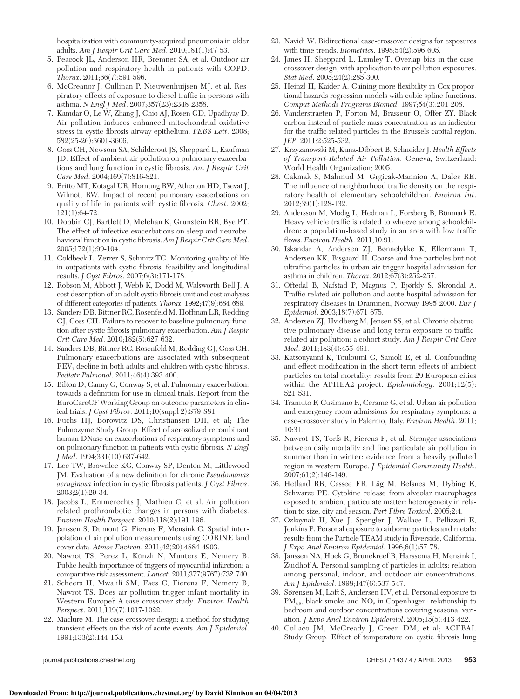hospitalization with community-acquired pneumonia in older adults. *Am J Respir Crit Care Med.* 2010;181(1):47-53.

- 5 . Peacock JL , Anderson HR , Bremner SA , et al . Outdoor air pollution and respiratory health in patients with COPD . *Thorax*. 2011;66(7):591-596.
- 6. McCreanor J, Cullinan P, Nieuwenhuijsen MJ, et al. Respiratory effects of exposure to diesel traffic in persons with asthma. *N Engl J Med.* 2007;357(23):2348-2358.
- 7. Kamdar O, Le W, Zhang J, Ghio AJ, Rosen GD, Upadhyay D. Air pollution induces enhanced mitochondrial oxidative stress in cystic fibrosis airway epithelium. *FEBS Lett*. 2008; 582 ( 25-26): 3601-3606.
- 8. Goss CH, Newsom SA, Schildcrout JS, Sheppard L, Kaufman JD . Effect of ambient air pollution on pulmonary exacerbations and lung function in cystic fibrosis. Am *J Respir Crit Care Med.* 2004;169(7):816-821.
- 9. Britto MT, Kotagal UR, Hornung RW, Atherton HD, Tsevat J, Wilmott RW. Impact of recent pulmonary exacerbations on quality of life in patients with cystic fibrosis. *Chest*. 2002;  $121(1):64-72.$
- 10. Dobbin CJ, Bartlett D, Melehan K, Grunstein RR, Bye PT. The effect of infective exacerbations on sleep and neurobehavioral function in cystic fibrosis. Am *J Respir Crit Care Med*. 2005;172(1):99-104.
- 11. Goldbeck L, Zerrer S, Schmitz TG. Monitoring quality of life in outpatients with cystic fibrosis: feasibility and longitudinal results. *J Cyst Fibros*. 2007;6(3):171-178.
- 12. Robson M, Abbott J, Webb K, Dodd M, Walsworth-Bell J. A cost description of an adult cystic fibrosis unit and cost analyses of different categories of patients. *Thorax*. 1992;47(9):684-689.
- 13. Sanders DB, Bittner RC, Rosenfeld M, Hoffman LR, Redding GJ, Goss CH. Failure to recover to baseline pulmonary function after cystic fibrosis pulmonary exacerbation. *Am J Respir Crit Care Med.* 2010;182(5):627-632.
- 14. Sanders DB, Bittner RC, Rosenfeld M, Redding GJ, Goss CH. Pulmonary exacerbations are associated with subsequent  $\rm FEV_{1}$  decline in both adults and children with cystic fibrosis. Pediatr Pulmonol. 2011;46(4):393-400.
- 15. Bilton D, Canny G, Conway S, et al. Pulmonary exacerbation: towards a definition for use in clinical trials. Report from the EuroCareCF Working Group on outcome parameters in clinical trials. *J Cyst Fibros*. 2011;10(suppl 2):S79-S81.
- 16. Fuchs HJ, Borowitz DS, Christiansen DH, et al; The Pulmozyme Study Group . Effect of aerosolized recombinant human DNase on exacerbations of respiratory symptoms and on pulmonary function in patients with cystic fibrosis. *N Engl J Med.* 1994;331(10):637-642.
- 17. Lee TW, Brownlee KG, Conway SP, Denton M, Littlewood JM. Evaluation of a new definition for chronic *Pseudomonas aeruginosa* infection in cystic fibrosis patients. *J Cyst Fibros*.  $2003;2(1):29-34.$
- 18. Jacobs L, Emmerechts J, Mathieu C, et al. Air pollution related prothrombotic changes in persons with diabetes . *Environ Health Perspect.* 2010;118(2):191-196.
- 19. Janssen S, Dumont G, Fierens F, Mensink C. Spatial interpolation of air pollution measurements using CORINE land cover data. *Atmos Environ*. 2011;42(20):4884-4903.
- 20. Nawrot TS, Perez L, Künzli N, Munters E, Nemery B. Public health importance of triggers of myocardial infarction: a comparative risk assessment. *Lancet*. 2011;377(9767):732-740.
- 21. Scheers H, Mwalili SM, Faes C, Fierens F, Nemery B, Nawrot TS . Does air pollution trigger infant mortality in Western Europe? A case-crossover study . *Environ Health Perspect*. 2011;119(7):1017-1022.
- 22. Maclure M. The case-crossover design: a method for studying transient effects on the risk of acute events . *Am J Epidemiol* .  $1991; 133(2): 144-153.$ 
	-
- 23. Navidi W. Bidirectional case-crossover designs for exposures with time trends. *Biometrics*. 1998;54(2):596-605.
- 24. Janes H, Sheppard L, Lumley T. Overlap bias in the casecrossover design, with application to air pollution exposures . Stat Med. 2005;24(2):285-300.
- 25. Heinzl H, Kaider A. Gaining more flexibility in Cox proportional hazards regression models with cubic spline functions . *Comput Methods Programs Biomed.* 1997;54(3):201-208.
- 26. Vanderstraeten P, Forton M, Brasseur O, Offer ZY. Black carbon instead of particle mass concentration as an indicator for the traffic related particles in the Brussels capital region. *JEP*. 2011;2:525-532.
- 27. Krzyzanowski M, Kuna-Dibbert B, Schneider J. *Health Effects of Transport-Related Air Pollution.* Geneva, Switzerland: World Health Organization; 2005.
- 28. Cakmak S, Mahmud M, Grgicak-Mannion A, Dales RE. The influence of neighborhood traffic density on the respiratory health of elementary schoolchildren. *Environ Int*. 2012 ; 39 ( 1 ): 128 - 132 .
- 29. Andersson M, Modig L, Hedman L, Forsberg B, Rönmark E. Heavy vehicle traffic is related to wheeze among schoolchildren: a population-based study in an area with low traffic flows. *Environ Health*. 2011;10:91.
- 30. Iskandar A, Andersen ZJ, Bønnelykke K, Ellermann T, Andersen KK, Bisgaard H. Coarse and fine particles but not ultrafine particles in urban air trigger hospital admission for asthma in children. *Thorax*. 2012;67(3):252-257.
- 31. Oftedal B, Nafstad P, Magnus P, Bjørkly S, Skrondal A. Traffic related air pollution and acute hospital admission for respiratory diseases in Drammen, Norway 1995-2000 . *Eur J Epidemiol*. 2003;18(7):671-675.
- 32. Andersen ZJ, Hvidberg M, Jensen SS, et al. Chronic obstructive pulmonary disease and long-term exposure to trafficrelated air pollution: a cohort study . *Am J Respir Crit Care Med.* 2011;183(4):455-461.
- 33. Katsouyanni K, Touloumi G, Samoli E, et al. Confounding and effect modification in the short-term effects of ambient particles on total mortality: results from 29 European cities within the APHEA2 project. *Epidemiology*. 2001;12(5): 521-531.
- 34. Tramuto F, Cusimano R, Cerame G, et al. Urban air pollution and emergency room admissions for respiratory symptoms: a case-crossover study in Palermo, Italy . *Environ Health* . 2011 ; 10:31.
- 35. Nawrot TS, Torfs R, Fierens F, et al. Stronger associations between daily mortality and fine particulate air pollution in summer than in winter: evidence from a heavily polluted region in western Europe . *J Epidemiol Community Health* . 2007;61(2):146-149.
- 36. Hetland RB, Cassee FR, Låg M, Refsnes M, Dybing E, Schwarze PE . Cytokine release from alveolar macrophages exposed to ambient particulate matter: heterogeneity in relation to size, city and season. Part Fibre Toxicol. 2005;2:4.
- 37. Ozkaynak H, Xue J, Spengler J, Wallace L, Pellizzari E, Jenkins P. Personal exposure to airborne particles and metals: results from the Particle TEAM study in Riverside, California . *J Expo Anal Environ Epidemiol.* 1996;6(1):57-78.
- 38. Janssen NA, Hoek G, Brunekreef B, Harssema H, Mensink I, Zuidhof A. Personal sampling of particles in adults: relation among personal, indoor, and outdoor air concentrations . *Am J Epidemiol.* 1998;147(6):537-547.
- 39. Sørensen M, Loft S, Andersen HV, et al. Personal exposure to  $PM_{2.5}$ , black smoke and  $NO_2$  in Copenhagen: relationship to bedroom and outdoor concentrations covering seasonal variation. *J Expo Anal Environ Epidemiol*. 2005;15(5):413-422.
- 40. Collaco JM, McGready J, Green DM, et al; ACFBAL Study Group. Effect of temperature on cystic fibrosis lung